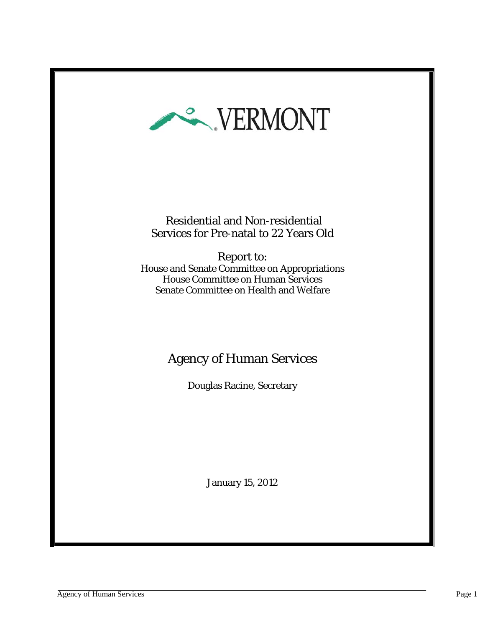

 Residential and Non-residential Services for Pre-natal to 22 Years Old

Report to: House and Senate Committee on Appropriations House Committee on Human Services Senate Committee on Health and Welfare

# Agency of Human Services

Douglas Racine, Secretary

January 15, 2012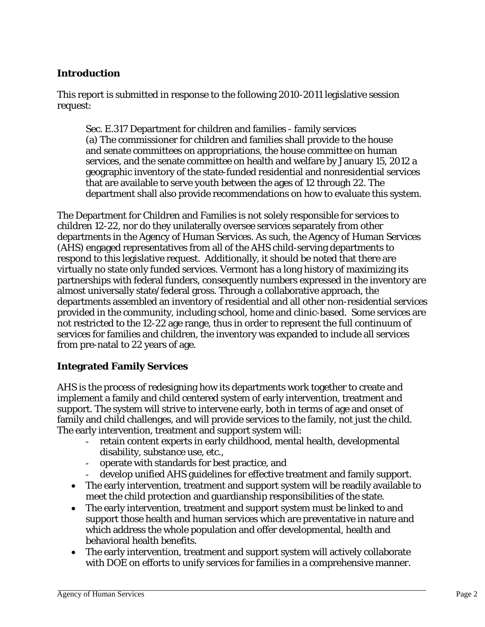# **Introduction**

This report is submitted in response to the following 2010-2011 legislative session request:

Sec. E.317 Department for children and families - family services (a) The commissioner for children and families shall provide to the house and senate committees on appropriations, the house committee on human services, and the senate committee on health and welfare by January 15, 2012 a geographic inventory of the state-funded residential and nonresidential services that are available to serve youth between the ages of 12 through 22. The department shall also provide recommendations on how to evaluate this system.

The Department for Children and Families is not solely responsible for services to children 12-22, nor do they unilaterally oversee services separately from other departments in the Agency of Human Services. As such, the Agency of Human Services (AHS) engaged representatives from all of the AHS child-serving departments to respond to this legislative request. Additionally, it should be noted that there are virtually no state only funded services. Vermont has a long history of maximizing its partnerships with federal funders, consequently numbers expressed in the inventory are almost universally state/federal gross. Through a collaborative approach, the departments assembled an inventory of residential and all other non-residential services provided in the community, including school, home and clinic-based. Some services are not restricted to the 12-22 age range, thus in order to represent the full continuum of services for families and children, the inventory was expanded to include all services from pre-natal to 22 years of age.

#### **Integrated Family Services**

AHS is the process of redesigning how its departments work together to create and implement a family and child centered system of early intervention, treatment and support. The system will strive to intervene early, both in terms of age and onset of family and child challenges, and will provide services to the family, not just the child. The early intervention, treatment and support system will:

- retain content experts in early childhood, mental health, developmental disability, substance use, etc.,
- operate with standards for best practice, and
- develop unified AHS guidelines for effective treatment and family support.
- The early intervention, treatment and support system will be readily available to meet the child protection and guardianship responsibilities of the state.
- The early intervention, treatment and support system must be linked to and support those health and human services which are preventative in nature and which address the whole population and offer developmental, health and behavioral health benefits.
- The early intervention, treatment and support system will actively collaborate with DOE on efforts to unify services for families in a comprehensive manner.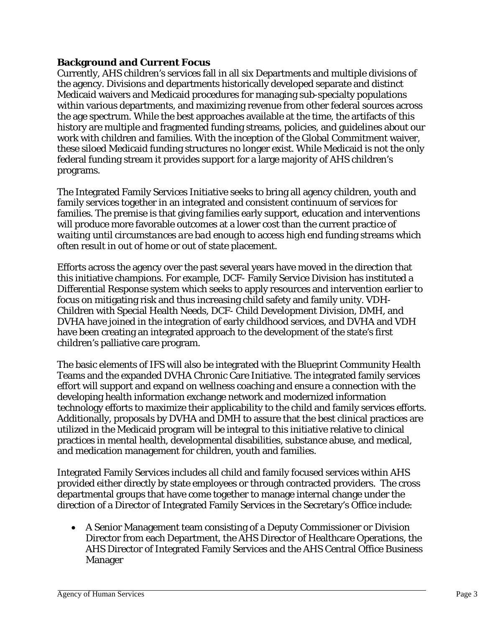## **Background and Current Focus**

Currently, AHS children's services fall in all six Departments and multiple divisions of the agency. Divisions and departments historically developed separate and distinct Medicaid waivers and Medicaid procedures for managing sub-specialty populations within various departments, and maximizing revenue from other federal sources across the age spectrum. While the best approaches available at the time, the artifacts of this history are multiple and fragmented funding streams, policies, and guidelines about our work with children and families. With the inception of the Global Commitment waiver, these siloed Medicaid funding structures no longer exist. While Medicaid is not the only federal funding stream it provides support for a large majority of AHS children's programs.

The Integrated Family Services Initiative seeks to bring all agency children, youth and family services together in an integrated and consistent continuum of services for families. The premise is that giving families early support, education and interventions will produce more favorable outcomes at a lower cost than the current practice of *waiting until circumstances are bad enough* to access *high end* funding streams which often result in out of home or out of state placement.

Efforts across the agency over the past several years have moved in the direction that this initiative champions. For example, DCF- Family Service Division has instituted a Differential Response system which seeks to apply resources and intervention earlier to focus on mitigating risk and thus increasing child safety and family unity. VDH-Children with Special Health Needs, DCF- Child Development Division, DMH, and DVHA have joined in the integration of early childhood services, and DVHA and VDH have been creating an integrated approach to the development of the state's first children's palliative care program.

The basic elements of IFS will also be integrated with the Blueprint Community Health Teams and the expanded DVHA Chronic Care Initiative. The integrated family services effort will support and expand on wellness coaching and ensure a connection with the developing health information exchange network and modernized information technology efforts to maximize their applicability to the child and family services efforts. Additionally, proposals by DVHA and DMH to assure that the best clinical practices are utilized in the Medicaid program will be integral to this initiative relative to clinical practices in mental health, developmental disabilities, substance abuse, and medical, and medication management for children, youth and families.

Integrated Family Services includes all child and family focused services within AHS provided either directly by state employees or through contracted providers. The cross departmental groups that have come together to manage internal change under the direction of a Director of Integrated Family Services in the Secretary's Office include:

 A Senior Management team consisting of a Deputy Commissioner or Division Director from each Department, the AHS Director of Healthcare Operations, the AHS Director of Integrated Family Services and the AHS Central Office Business Manager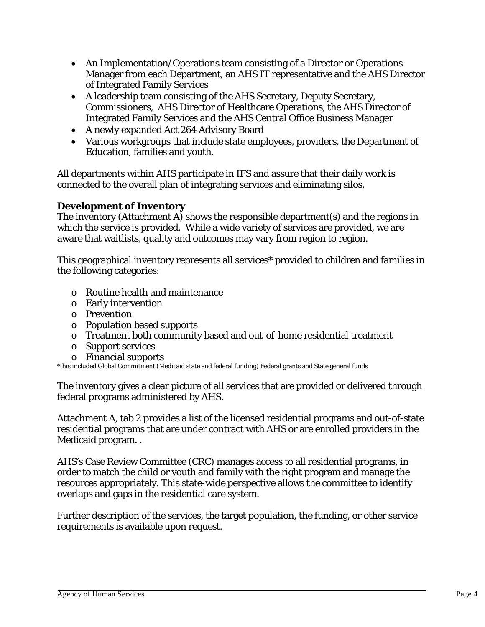- An Implementation/Operations team consisting of a Director or Operations Manager from each Department, an AHS IT representative and the AHS Director of Integrated Family Services
- A leadership team consisting of the AHS Secretary, Deputy Secretary, Commissioners, AHS Director of Healthcare Operations, the AHS Director of Integrated Family Services and the AHS Central Office Business Manager
- A newly expanded Act 264 Advisory Board
- Various workgroups that include state employees, providers, the Department of Education, families and youth.

All departments within AHS participate in IFS and assure that their daily work is connected to the overall plan of integrating services and eliminating silos.

# **Development of Inventory**

The inventory (Attachment A) shows the responsible department(s) and the regions in which the service is provided. While a wide variety of services are provided, we are aware that waitlists, quality and outcomes may vary from region to region.

This geographical inventory represents all services\* provided to children and families in the following categories:

- o Routine health and maintenance
- o Early intervention
- o Prevention
- o Population based supports
- o Treatment both community based and out-of-home residential treatment
- o Support services
- o Financial supports

\*this included Global Commitment (Medicaid state and federal funding) Federal grants and State general funds

The inventory gives a clear picture of all services that are provided or delivered through federal programs administered by AHS.

Attachment A, tab 2 provides a list of the licensed residential programs and out-of-state residential programs that are under contract with AHS or are enrolled providers in the Medicaid program. .

AHS's Case Review Committee (CRC) manages access to all residential programs, in order to match the child or youth and family with the right program and manage the resources appropriately. This state-wide perspective allows the committee to identify overlaps and gaps in the residential care system.

Further description of the services, the target population, the funding, or other service requirements is available upon request.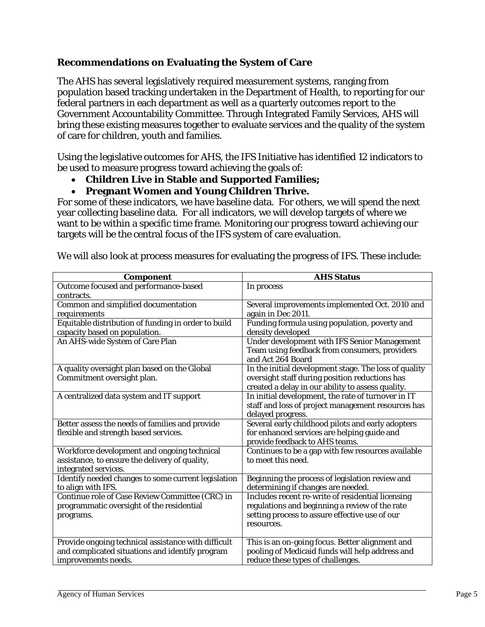# **Recommendations on Evaluating the System of Care**

The AHS has several legislatively required measurement systems, ranging from population based tracking undertaken in the Department of Health, to reporting for our federal partners in each department as well as a quarterly outcomes report to the Government Accountability Committee. Through Integrated Family Services, AHS will bring these existing measures together to evaluate services and the quality of the system of care for children, youth and families.

Using the legislative outcomes for AHS, the IFS Initiative has identified 12 indicators to be used to measure progress toward achieving the goals of:

## **Children Live in Stable and Supported Families;**

## **Pregnant Women and Young Children Thrive.**

For some of these indicators, we have baseline data. For others, we will spend the next year collecting baseline data. For all indicators, we will develop targets of where we want to be within a specific time frame. Monitoring our progress toward achieving our targets will be the central focus of the IFS system of care evaluation.

| <b>Component</b>                                                                                                              | <b>AHS Status</b>                                                                                                                                                   |
|-------------------------------------------------------------------------------------------------------------------------------|---------------------------------------------------------------------------------------------------------------------------------------------------------------------|
| Outcome focused and performance-based<br>contracts.                                                                           | In process                                                                                                                                                          |
| Common and simplified documentation<br>requirements                                                                           | Several improvements implemented Oct. 2010 and<br>again in Dec 2011.                                                                                                |
| Equitable distribution of funding in order to build<br>capacity based on population.                                          | Funding formula using population, poverty and<br>density developed                                                                                                  |
| An AHS-wide System of Care Plan                                                                                               | <b>Under development with IFS Senior Management</b><br>Team using feedback from consumers, providers<br>and Act 264 Board                                           |
| A quality oversight plan based on the Global<br>Commitment oversight plan.                                                    | In the initial development stage. The loss of quality<br>oversight staff during position reductions has<br>created a delay in our ability to assess quality.        |
| A centralized data system and IT support                                                                                      | In initial development, the rate of turnover in IT<br>staff and loss of project management resources has<br>delayed progress.                                       |
| Better assess the needs of families and provide<br>flexible and strength based services.                                      | Several early childhood pilots and early adopters<br>for enhanced services are helping guide and<br>provide feedback to AHS teams.                                  |
| Workforce development and ongoing technical<br>assistance, to ensure the delivery of quality,<br>integrated services.         | Continues to be a gap with few resources available<br>to meet this need.                                                                                            |
| Identify needed changes to some current legislation<br>to align with IFS.                                                     | Beginning the process of legislation review and<br>determining if changes are needed.                                                                               |
| Continue role of Case Review Committee (CRC) in<br>programmatic oversight of the residential<br>programs.                     | Includes recent re-write of residential licensing<br>regulations and beginning a review of the rate<br>setting process to assure effective use of our<br>resources. |
| Provide ongoing technical assistance with difficult<br>and complicated situations and identify program<br>improvements needs. | This is an on-going focus. Better alignment and<br>pooling of Medicaid funds will help address and<br>reduce these types of challenges.                             |

We will also look at process measures for evaluating the progress of IFS. These include: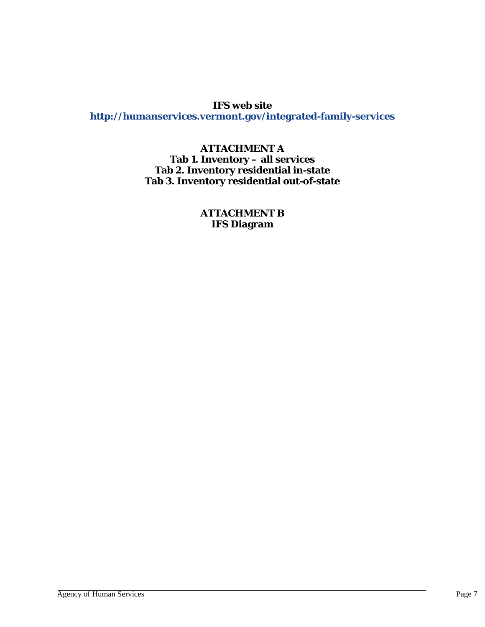## **IFS web site**

**http://humanservices.vermont.gov/integrated-family-services**

## **ATTACHMENT A Tab 1. Inventory – all services Tab 2. Inventory residential in-state Tab 3. Inventory residential out-of-state**

**ATTACHMENT B IFS Diagram**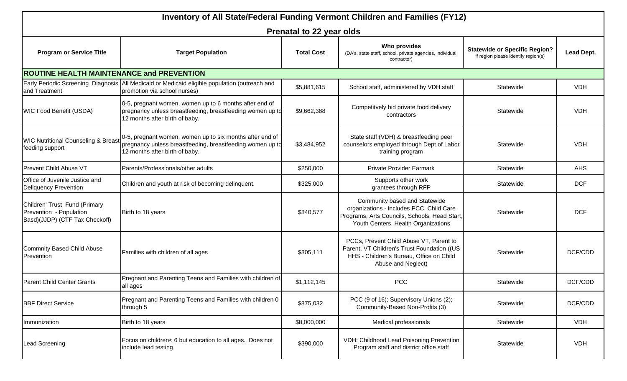| Inventory of All State/Federal Funding Vermont Children and Families (FY12)                |                                                                                                                                                         |                          |                                                                                                                                                                   |                                                                             |            |
|--------------------------------------------------------------------------------------------|---------------------------------------------------------------------------------------------------------------------------------------------------------|--------------------------|-------------------------------------------------------------------------------------------------------------------------------------------------------------------|-----------------------------------------------------------------------------|------------|
|                                                                                            |                                                                                                                                                         | Prenatal to 22 year olds |                                                                                                                                                                   |                                                                             |            |
| <b>Program or Service Title</b>                                                            | <b>Target Population</b>                                                                                                                                | <b>Total Cost</b>        | Who provides<br>(DA's, state staff, school, private agencies, individual<br>contractor)                                                                           | <b>Statewide or Specific Region?</b><br>If region please identify region(s) | Lead Dept. |
| <b>ROUTINE HEALTH MAINTENANCE and PREVENTION</b>                                           |                                                                                                                                                         |                          |                                                                                                                                                                   |                                                                             |            |
| and Treatment                                                                              | Early Periodic Screening Diagnosis All Medicaid or Medicaid eligible population (outreach and<br>promotion via school nurses)                           | \$5,881,615              | School staff, administered by VDH staff                                                                                                                           | Statewide                                                                   | <b>VDH</b> |
| <b>WIC Food Benefit (USDA)</b>                                                             | 0-5, pregnant women, women up to 6 months after end of<br>pregnancy unless breastfeeding, breastfeeding women up to<br>12 months after birth of baby.   | \$9,662,388              | Competitvely bid private food delivery<br>contractors                                                                                                             | Statewide                                                                   | <b>VDH</b> |
| <b>WIC Nutritional Counseling &amp; Breast</b><br>feeding support                          | 0-5, pregnant women, women up to six months after end of<br>pregnancy unless breastfeeding, breastfeeding women up to<br>12 months after birth of baby. | \$3,484,952              | State staff (VDH) & breastfeeding peer<br>counselors employed through Dept of Labor<br>training program                                                           | Statewide                                                                   | <b>VDH</b> |
| Prevent Child Abuse VT                                                                     | Parents/Professionals/other adults                                                                                                                      | \$250,000                | <b>Private Provider Earmark</b>                                                                                                                                   | Statewide                                                                   | <b>AHS</b> |
| Office of Juvenile Justice and<br><b>Deliquency Prevention</b>                             | Children and youth at risk of becoming delinquent.                                                                                                      | \$325,000                | Supports other work<br>grantees through RFP                                                                                                                       | Statewide                                                                   | <b>DCF</b> |
| Children' Trust Fund (Primary<br>Prevention - Population<br>Basd)(JJDP) (CTF Tax Checkoff) | Birth to 18 years                                                                                                                                       | \$340,577                | Community based and Statewide<br>organizations - includes PCC, Child Care<br>Programs, Arts Councils, Schools, Head Start,<br>Youth Centers, Health Organizations | Statewide                                                                   | <b>DCF</b> |
| <b>Commnity Based Child Abuse</b><br>Prevention                                            | Families with children of all ages                                                                                                                      | \$305,111                | PCCs, Prevent Child Abuse VT, Parent to<br>Parent, VT Children's Trust Foundation ((US<br>HHS - Children's Bureau, Office on Child<br>Abuse and Neglect)          | Statewide                                                                   | DCF/CDD    |
| Parent Child Center Grants                                                                 | Pregnant and Parenting Teens and Families with children of<br>all ages                                                                                  | \$1,112,145              | <b>PCC</b>                                                                                                                                                        | Statewide                                                                   | DCF/CDD    |
| <b>BBF Direct Service</b>                                                                  | Pregnant and Parenting Teens and Families with children 0<br>through 5                                                                                  | \$875,032                | PCC (9 of 16); Supervisory Unions (2);<br>Community-Based Non-Profits (3)                                                                                         | Statewide                                                                   | DCF/CDD    |
| Immunization                                                                               | Birth to 18 years                                                                                                                                       | \$8,000,000              | Medical professionals                                                                                                                                             | Statewide                                                                   | <b>VDH</b> |
| Lead Screening                                                                             | Focus on children< 6 but education to all ages. Does not<br>include lead testing                                                                        | \$390,000                | VDH: Childhood Lead Poisoning Prevention<br>Program staff and district office staff                                                                               | Statewide                                                                   | <b>VDH</b> |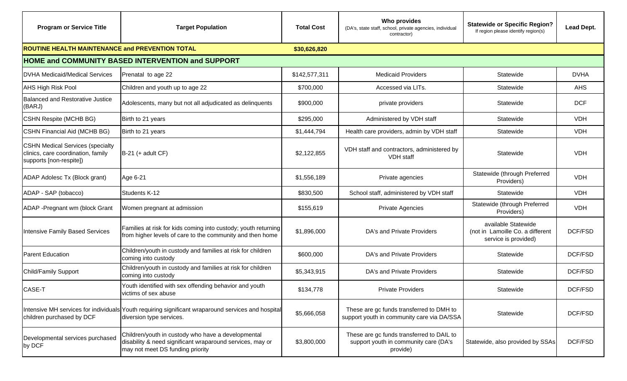| <b>Program or Service Title</b>                                                                          | <b>Target Population</b>                                                                                                                            | <b>Total Cost</b> | Who provides<br>(DA's, state staff, school, private agencies, individual<br>contractor)        | <b>Statewide or Specific Region?</b><br>If region please identify region(s)     | Lead Dept.  |
|----------------------------------------------------------------------------------------------------------|-----------------------------------------------------------------------------------------------------------------------------------------------------|-------------------|------------------------------------------------------------------------------------------------|---------------------------------------------------------------------------------|-------------|
| ROUTINE HEALTH MAINTENANCE and PREVENTION TOTAL                                                          |                                                                                                                                                     | \$30,626,820      |                                                                                                |                                                                                 |             |
|                                                                                                          | <b>HOME and COMMUNITY BASED INTERVENTION and SUPPORT</b>                                                                                            |                   |                                                                                                |                                                                                 |             |
| <b>DVHA Medicaid/Medical Services</b>                                                                    | Prenatal to age 22                                                                                                                                  | \$142,577,311     | <b>Medicaid Providers</b>                                                                      | Statewide                                                                       | <b>DVHA</b> |
| <b>AHS High Risk Pool</b>                                                                                | Children and youth up to age 22                                                                                                                     | \$700,000         | Accessed via LITs.                                                                             | Statewide                                                                       | AHS         |
| Balanced and Restorative Justice<br>(BARJ)                                                               | Adolescents, many but not all adjudicated as delinquents                                                                                            | \$900,000         | private providers                                                                              | Statewide                                                                       | <b>DCF</b>  |
| <b>CSHN Respite (MCHB BG)</b>                                                                            | Birth to 21 years                                                                                                                                   | \$295,000         | Administered by VDH staff                                                                      | Statewide                                                                       | <b>VDH</b>  |
| <b>CSHN Financial Aid (MCHB BG)</b>                                                                      | Birth to 21 years                                                                                                                                   | \$1,444,794       | Health care providers, admin by VDH staff                                                      | Statewide                                                                       | <b>VDH</b>  |
| <b>CSHN Medical Services (specialty</b><br>clinics, care coordination, family<br>supports [non-respite]) | $B-21$ (+ adult CF)                                                                                                                                 | \$2,122,855       | VDH staff and contractors, administered by<br><b>VDH</b> staff                                 | Statewide                                                                       | <b>VDH</b>  |
| ADAP Adolesc Tx (Block grant)                                                                            | Age 6-21                                                                                                                                            | \$1,556,189       | Private agencies                                                                               | Statewide (through Preferred<br>Providers)                                      | <b>VDH</b>  |
| ADAP - SAP (tobacco)                                                                                     | Students K-12                                                                                                                                       | \$830,500         | School staff, administered by VDH staff                                                        | Statewide                                                                       | <b>VDH</b>  |
| ADAP - Pregnant wm (block Grant                                                                          | Women pregnant at admission                                                                                                                         | \$155,619         | <b>Private Agencies</b>                                                                        | Statewide (through Preferred<br>Providers)                                      | <b>VDH</b>  |
| Intensive Family Based Services                                                                          | Families at risk for kids coming into custody; youth returning<br>from higher levels of care to the community and then home                         | \$1,896,000       | DA's and Private Providers                                                                     | available Statewide<br>(not in Lamoille Co. a different<br>service is provided) | DCF/FSD     |
| <b>Parent Education</b>                                                                                  | Children/youth in custody and families at risk for children<br>coming into custody                                                                  | \$600,000         | DA's and Private Providers                                                                     | Statewide                                                                       | DCF/FSD     |
| Child/Family Support                                                                                     | Children/youth in custody and families at risk for children<br>coming into custody                                                                  | \$5,343,915       | DA's and Private Providers                                                                     | Statewide                                                                       | DCF/FSD     |
| CASE-T                                                                                                   | Youth identified with sex offending behavior and youth<br>victims of sex abuse                                                                      | \$134,778         | <b>Private Providers</b>                                                                       | Statewide                                                                       | DCF/FSD     |
| children purchased by DCF                                                                                | Intensive MH services for individuals Youth requiring significant wraparound services and hospital<br>diversion type services.                      | \$5,666,058       | These are gc funds transferred to DMH to<br>support youth in community care via DA/SSA         | Statewide                                                                       | DCF/FSD     |
| Developmental services purchased<br>by DCF                                                               | Children/youth in custody who have a developmental<br>disability & need significant wraparound services, may or<br>may not meet DS funding priority | \$3,800,000       | These are gc funds transferred to DAIL to<br>support youth in community care (DA's<br>provide) | Statewide, also provided by SSAs                                                | DCF/FSD     |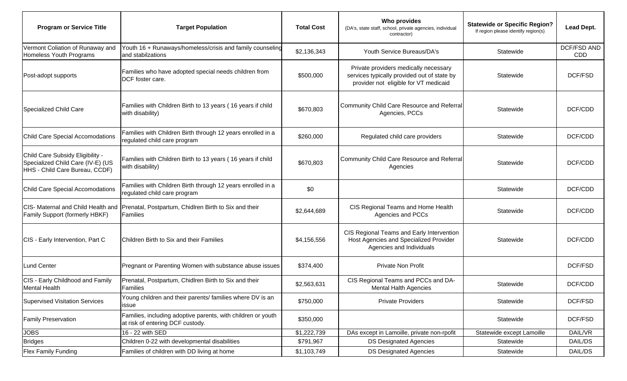| <b>Program or Service Title</b>                                                                         | <b>Target Population</b>                                                                         | <b>Total Cost</b> | Who provides<br>(DA's, state staff, school, private agencies, individual<br>contractor)                                       | <b>Statewide or Specific Region?</b><br>If region please identify region(s) | Lead Dept.                |
|---------------------------------------------------------------------------------------------------------|--------------------------------------------------------------------------------------------------|-------------------|-------------------------------------------------------------------------------------------------------------------------------|-----------------------------------------------------------------------------|---------------------------|
| Vermont Coliation of Runaway and<br>Homeless Youth Programs                                             | Youth 16 + Runaways/homeless/crisis and family counseling<br>and stabilzations                   | \$2,136,343       | Youth Service Bureaus/DA's                                                                                                    | Statewide                                                                   | <b>DCF/FSD AND</b><br>CDD |
| Post-adopt supports                                                                                     | Families who have adopted special needs children from<br>DCF foster care.                        | \$500,000         | Private providers medically necessary<br>services typically provided out of state by<br>provider not eligible for VT medicaid | Statewide                                                                   | DCF/FSD                   |
| Specialized Child Care                                                                                  | Families with Children Birth to 13 years (16 years if child<br>with disability)                  | \$670,803         | Community Child Care Resource and Referral<br>Agencies, PCCs                                                                  | Statewide                                                                   | DCF/CDD                   |
| Child Care Special Accomodations                                                                        | Families with Children Birth through 12 years enrolled in a<br>regulated child care program      | \$260,000         | Regulated child care providers                                                                                                | Statewide                                                                   | DCF/CDD                   |
| Child Care Subsidy Eligibility -<br>Specialized Child Care (IV-E) (US<br>HHS - Child Care Bureau, CCDF) | Families with Children Birth to 13 years (16 years if child<br>with disability)                  | \$670,803         | Community Child Care Resource and Referral<br>Agencies                                                                        | Statewide                                                                   | DCF/CDD                   |
| Child Care Special Accomodations                                                                        | Families with Children Birth through 12 years enrolled in a<br>regulated child care program      | \$0               |                                                                                                                               | Statewide                                                                   | DCF/CDD                   |
| CIS- Maternal and Child Health and<br>Family Support (formerly HBKF)                                    | Prenatal, Postpartum, Chidlren Birth to Six and their<br>Families                                | \$2,644,689       | CIS Regional Teams and Home Health<br>Agencies and PCCs                                                                       | Statewide                                                                   | DCF/CDD                   |
| CIS - Early Intervention, Part C                                                                        | Children Birth to Six and their Families                                                         | \$4,156,556       | CIS Regional Teams and Early Intervention<br>Host Agencies and Specialized Provider<br>Agencies and Individuals               | Statewide                                                                   | DCF/CDD                   |
| <b>Lund Center</b>                                                                                      | Pregnant or Parenting Women with substance abuse issues                                          | \$374,400         | <b>Private Non Profit</b>                                                                                                     |                                                                             | DCF/FSD                   |
| CIS - Early Childhood and Family<br><b>Mental Health</b>                                                | Prenatal, Postpartum, Chidlren Birth to Six and their<br>Families                                | \$2,563,631       | CIS Regional Teams and PCCs and DA-<br><b>Mental Halth Agencies</b>                                                           | Statewide                                                                   | DCF/CDD                   |
| <b>Supervised Visitation Services</b>                                                                   | Young children and their parents/ families where DV is an<br>issue                               | \$750,000         | <b>Private Providers</b>                                                                                                      | Statewide                                                                   | DCF/FSD                   |
| <b>Family Preservation</b>                                                                              | Families, including adoptive parents, with children or youth<br>at risk of entering DCF custody. | \$350,000         |                                                                                                                               | Statewide                                                                   | DCF/FSD                   |
| <b>JOBS</b>                                                                                             | 16 - 22 with SED                                                                                 | \$1,222,739       | DAs except in Lamoille, private non-rpofit                                                                                    | Statewide except Lamoille                                                   | DAIL/VR                   |
| <b>Bridges</b>                                                                                          | Children 0-22 with developmental disabilities                                                    | \$791,967         | <b>DS Designated Agencies</b>                                                                                                 | Statewide                                                                   | DAIL/DS                   |
| Flex Family Funding                                                                                     | Families of children with DD living at home                                                      | \$1,103,749       | <b>DS Designated Agencies</b>                                                                                                 | Statewide                                                                   | DAIL/DS                   |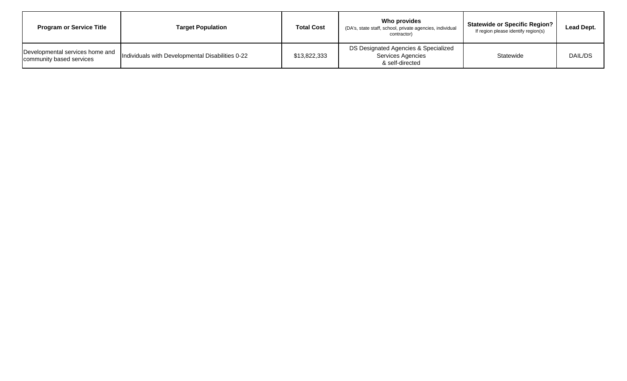| <b>Program or Service Title</b>                             | <b>Target Population</b>                         | <b>Total Cost</b> | Who provides<br>(DA's, state staff, school, private agencies, individual<br>contractor) | <b>Statewide or Specific Region?</b><br>If region please identify region(s) | Lead Dept. |
|-------------------------------------------------------------|--------------------------------------------------|-------------------|-----------------------------------------------------------------------------------------|-----------------------------------------------------------------------------|------------|
| Developmental services home and<br>community based services | Individuals with Developmental Disabilities 0-22 | \$13,822,333      | DS Designated Agencies & Specialized<br>Services Agencies<br>& self-directed            | Statewide                                                                   | DAIL/DS    |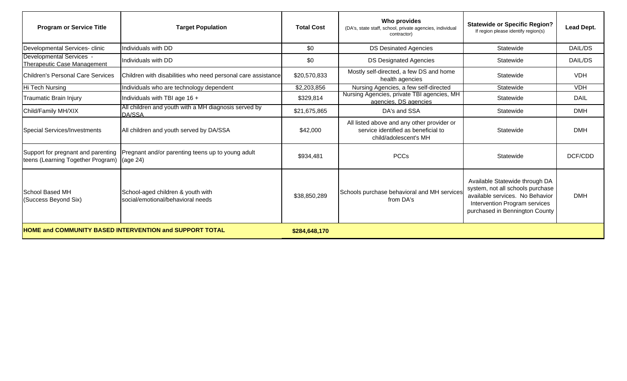| <b>Program or Service Title</b>                                         | <b>Target Population</b>                                               | <b>Total Cost</b> | Who provides<br>(DA's, state staff, school, private agencies, individual<br>contractor)                    | <b>Statewide or Specific Region?</b><br>If region please identify region(s)                                                                                              | Lead Dept.  |
|-------------------------------------------------------------------------|------------------------------------------------------------------------|-------------------|------------------------------------------------------------------------------------------------------------|--------------------------------------------------------------------------------------------------------------------------------------------------------------------------|-------------|
| Developmental Services- clinic                                          | Individuals with DD                                                    | \$0               | <b>DS Desinated Agencies</b>                                                                               | Statewide                                                                                                                                                                | DAIL/DS     |
| Developmental Services -<br><b>Therapeutic Case Management</b>          | Individuals with DD                                                    | \$0               | <b>DS Designated Agencies</b>                                                                              | Statewide                                                                                                                                                                | DAIL/DS     |
| <b>Children's Personal Care Services</b>                                | Children with disabilities who need personal care assistance           | \$20,570,833      | Mostly self-directed, a few DS and home<br>health agencies                                                 | Statewide                                                                                                                                                                | <b>VDH</b>  |
| Hi Tech Nursing                                                         | Individuals who are technology dependent                               | \$2,203,856       | Nursing Agencies, a few self-directed                                                                      | Statewide                                                                                                                                                                | <b>VDH</b>  |
| Traumatic Brain Injury                                                  | Individuals with TBI age 16 +                                          | \$329,814         | Nursing Agencies, private TBI agencies, MH<br>agencies, DS agencies                                        | Statewide                                                                                                                                                                | <b>DAIL</b> |
| Child/Family MH/XIX                                                     | All children and youth with a MH diagnosis served by<br>DA/SSA         | \$21,675,865      | DA's and SSA                                                                                               | Statewide                                                                                                                                                                | <b>DMH</b>  |
| <b>Special Services/Investments</b>                                     | All children and youth served by DA/SSA                                | \$42,000          | All listed above and any other provider or<br>service identified as beneficial to<br>child/adolescent's MH | Statewide                                                                                                                                                                | <b>DMH</b>  |
| Support for pregnant and parenting<br>teens (Learning Together Program) | Pregnant and/or parenting teens up to young adult<br>(age 24)          | \$934,481         | <b>PCCs</b>                                                                                                | Statewide                                                                                                                                                                | DCF/CDD     |
| School Based MH<br>(Success Beyond Six)                                 | School-aged children & youth with<br>social/emotional/behavioral needs | \$38,850,289      | Schools purchase behavioral and MH services<br>from DA's                                                   | Available Statewide through DA<br>system, not all schools purchase<br>available services. No Behavior<br>Intervention Program services<br>purchased in Bennington County | <b>DMH</b>  |
|                                                                         | <b>HOME and COMMUNITY BASED INTERVENTION and SUPPORT TOTAL</b>         | \$284,648,170     |                                                                                                            |                                                                                                                                                                          |             |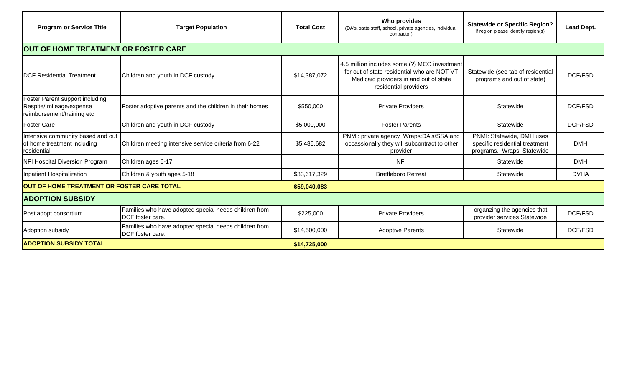| <b>Program or Service Title</b>                                                             | <b>Target Population</b>                                                  | <b>Total Cost</b> | <b>Who provides</b><br>(DA's, state staff, school, private agencies, individual<br>contractor)                                                                 | <b>Statewide or Specific Region?</b><br>If region please identify region(s)               | Lead Dept.  |
|---------------------------------------------------------------------------------------------|---------------------------------------------------------------------------|-------------------|----------------------------------------------------------------------------------------------------------------------------------------------------------------|-------------------------------------------------------------------------------------------|-------------|
| OUT OF HOME TREATMENT OR FOSTER CARE                                                        |                                                                           |                   |                                                                                                                                                                |                                                                                           |             |
| <b>DCF Residential Treatment</b>                                                            | Children and youth in DCF custody                                         | \$14,387,072      | 4.5 million includes some (?) MCO investment<br>for out of state residential who are NOT VT<br>Medicaid providers in and out of state<br>residential providers | Statewide (see tab of residential<br>programs and out of state)                           | DCF/FSD     |
| Foster Parent support including:<br>Respite/, mileage/expense<br>reimbursement/training etc | Foster adoptive parents and the children in their homes                   | \$550,000         | <b>Private Providers</b>                                                                                                                                       | Statewide                                                                                 | DCF/FSD     |
| <b>Foster Care</b>                                                                          | Children and youth in DCF custody                                         | \$5,000,000       | <b>Foster Parents</b>                                                                                                                                          | Statewide                                                                                 | DCF/FSD     |
| Intensive community based and out<br>of home treatment including<br>residential             | Children meeting intensive service criteria from 6-22                     | \$5,485,682       | PNMI: private agency Wraps:DA's/SSA and<br>occassionally they will subcontract to other<br>provider                                                            | PNMI: Statewide, DMH uses<br>specific residential treatment<br>programs. Wraps: Statewide | <b>DMH</b>  |
| <b>NFI Hospital Diversion Program</b>                                                       | Children ages 6-17                                                        |                   | <b>NFI</b>                                                                                                                                                     | Statewide                                                                                 | <b>DMH</b>  |
| Inpatient Hospitalization                                                                   | Children & youth ages 5-18                                                | \$33,617,329      | <b>Brattleboro Retreat</b>                                                                                                                                     | Statewide                                                                                 | <b>DVHA</b> |
| OUT OF HOME TREATMENT OR FOSTER CARE TOTAL                                                  |                                                                           | \$59,040,083      |                                                                                                                                                                |                                                                                           |             |
| <b>ADOPTION SUBSIDY</b>                                                                     |                                                                           |                   |                                                                                                                                                                |                                                                                           |             |
| Post adopt consortium                                                                       | Families who have adopted special needs children from<br>DCF foster care. | \$225,000         | <b>Private Providers</b>                                                                                                                                       | organzing the agencies that<br>provider services Statewide                                | DCF/FSD     |
| Adoption subsidy                                                                            | Families who have adopted special needs children from<br>DCF foster care. | \$14,500,000      | <b>Adoptive Parents</b>                                                                                                                                        | Statewide                                                                                 | DCF/FSD     |
| <b>ADOPTION SUBSIDY TOTAL</b>                                                               |                                                                           | \$14,725,000      |                                                                                                                                                                |                                                                                           |             |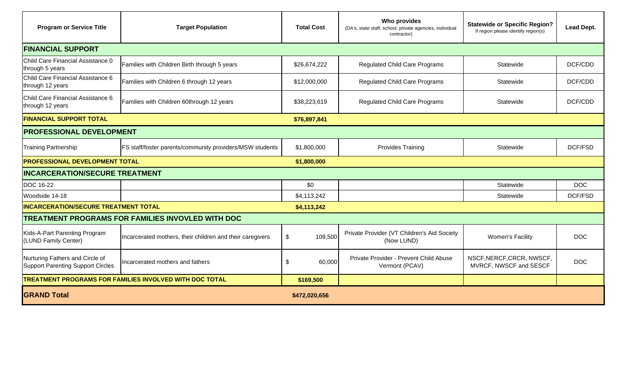| <b>Program or Service Title</b>                                             | <b>Target Population</b>                                       | <b>Total Cost</b>        | <b>Who provides</b><br>(DA's, state staff, school, private agencies, individual<br>contractor) | <b>Statewide or Specific Region?</b><br>If region please identify region(s) | Lead Dept. |
|-----------------------------------------------------------------------------|----------------------------------------------------------------|--------------------------|------------------------------------------------------------------------------------------------|-----------------------------------------------------------------------------|------------|
| <b>FINANCIAL SUPPORT</b>                                                    |                                                                |                          |                                                                                                |                                                                             |            |
| Child Care Financial Assistance 0<br>through 5 years                        | Families with Children Birth through 5 years                   | \$26,674,222             | <b>Regulated Child Care Programs</b>                                                           | Statewide                                                                   | DCF/CDD    |
| Child Care Financial Assistance 6<br>through 12 years                       | Families with Children 6 through 12 years                      | \$12,000,000             | <b>Regulated Child Care Programs</b>                                                           | Statewide                                                                   | DCF/CDD    |
| Child Care Financial Assistance 6<br>through 12 years                       | Families with Children 60through 12 years                      | \$38,223,619             | <b>Regulated Child Care Programs</b>                                                           | Statewide                                                                   | DCF/CDD    |
| <b>FINANCIAL SUPPORT TOTAL</b>                                              |                                                                | \$76,897,841             |                                                                                                |                                                                             |            |
| <b>PROFESSIONAL DEVELOPMENT</b>                                             |                                                                |                          |                                                                                                |                                                                             |            |
| <b>Training Partnership</b>                                                 | FS staff/foster parents/community providers/MSW students       | \$1,800,000              | <b>Provides Training</b>                                                                       | Statewide                                                                   | DCF/FSD    |
| <b>PROFESSIONAL DEVELOPMENT TOTAL</b>                                       |                                                                | \$1,800,000              |                                                                                                |                                                                             |            |
| <b>INCARCERATION/SECURE TREATMENT</b>                                       |                                                                |                          |                                                                                                |                                                                             |            |
| <b>DOC 16-22</b>                                                            |                                                                | \$0                      |                                                                                                | Statewide                                                                   | <b>DOC</b> |
| Woodside 14-18                                                              |                                                                | \$4,113,242              |                                                                                                | Statewide                                                                   | DCF/FSD    |
| <b>INCARCERATION/SECURE TREATMENT TOTAL</b>                                 |                                                                | \$4,113,242              |                                                                                                |                                                                             |            |
|                                                                             | <b>TREATMENT PROGRAMS FOR FAMILIES INVOVLED WITH DOC</b>       |                          |                                                                                                |                                                                             |            |
| Kids-A-Part Parenting Program<br>(LUND Family Center)                       | Incarcerated mothers, their children and their caregivers      | 109,500<br>$\frac{1}{2}$ | Private Provider (VT Children's Aid Society<br>(Now LUND)                                      | <b>Women's Facility</b>                                                     | <b>DOC</b> |
| Nurturing Fathers and Circle of<br><b>Support Parenting Support Circles</b> | Incarcerated mothers and fathers                               | 60,000<br>\$             | Private Provider - Prevent Child Abuse<br>Vermont (PCAV)                                       | NSCF, NERCF, CRCR, NWSCF,<br>MVRCF, NWSCF and SESCF                         | <b>DOC</b> |
|                                                                             | <b>TREATMENT PROGRAMS FOR FAMILIES INVOLVED WITH DOC TOTAL</b> | \$169,500                |                                                                                                |                                                                             |            |
| <b>GRAND Total</b>                                                          |                                                                | \$472,020,656            |                                                                                                |                                                                             |            |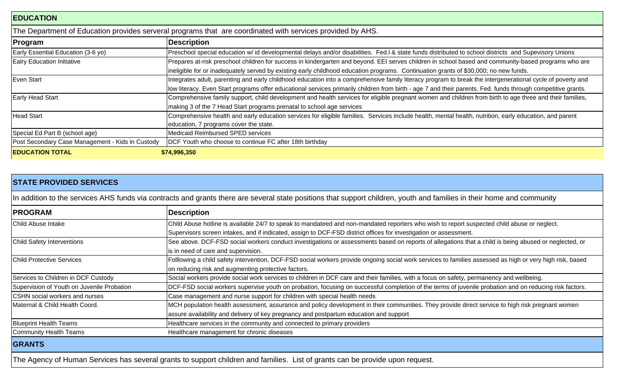| <b>EDUCATION</b>                                 |                                                                                                                                                                                                                                                                                                                            |
|--------------------------------------------------|----------------------------------------------------------------------------------------------------------------------------------------------------------------------------------------------------------------------------------------------------------------------------------------------------------------------------|
|                                                  | The Department of Education provides serveral programs that are coordinated with services provided by AHS.                                                                                                                                                                                                                 |
| Program                                          | <b>Description</b>                                                                                                                                                                                                                                                                                                         |
| Early Essential Education (3-6 yo)               | Preschool special education w/ id developmental delays and/or disabilities. Fed.I & state funds distributed to school districts and Supevisory Unions                                                                                                                                                                      |
| <b>Ealry Education Initiative</b>                | Prepares at-risk preschool children for success in kindergarten and beyond. EEI serves children in school based and community-based programs who are<br>ineligible for or inadequately served by existing early childhood education programs. Continuation grants of \$30,000; no new funds.                               |
| Even Start                                       | Integrates adult, parenting and early childhood education into a comprehensive family literacy program to break the intergenerational cycle of poverty and<br>low literacy. Even Start programs offer educational services primarily children from birth - age 7 and their parents. Fed. funds through competitive grants. |
| <b>Early Head Start</b>                          | Comprehensive family support, child development and health services for eligible pregnant women and children from birth to age three and their families,<br>making 3 of the 7 Head Start programs prenatal to school age services                                                                                          |
| <b>Head Start</b>                                | Comprehensive health and early education services for eligible families. Services include health, mental health, nutrition, early education, and parent<br>education, 7 programs cover the state.                                                                                                                          |
| Special Ed Part B (school age)                   | <b>Medicaid Reimbursed SPED services</b>                                                                                                                                                                                                                                                                                   |
| Post Secondary Case Management - Kids in Custody | DCF Youth who choose to continue FC after 18th birthday                                                                                                                                                                                                                                                                    |
| <b>EDUCATION TOTAL</b>                           | \$74,996,350                                                                                                                                                                                                                                                                                                               |

|                                            | In addition to the services AHS funds via contracts and grants there are several state positions that support children, youth and families in their home and community |
|--------------------------------------------|------------------------------------------------------------------------------------------------------------------------------------------------------------------------|
| <b>PROGRAM</b>                             | <b>Description</b>                                                                                                                                                     |
| Child Abuse Intake                         | Child Abuse hotline is available 24/7 to speak to mandateed and non-mandated reporters who wish to report suspected child abuse or neglect.                            |
|                                            | Supervisors screen intakes, and if indicated, assign to DCF-FSD district offices for investigation or assessment.                                                      |
| Child Safety Interventions                 | See above. DCF-FSD social workers conduct investigations or assessments based on reports of allegations that a child is being abused or neglected, or                  |
|                                            | is in need of care and supervision.                                                                                                                                    |
| <b>Child Protective Services</b>           | Folllowing a child safety intervention, DCF-FSD social workers provide ongoing social work services to families assessed as high or very high risk, based              |
|                                            | on reducing risk and augmenting protective factors.                                                                                                                    |
| Services to Children in DCF Custody        | Social workers provide social work services to children in DCF care and their families, with a focus on safety, permanency and wellbeing.                              |
| Supervision of Youth on Juvenile Probation | DCF-FSD social workers supervise youth on probation, focusing on successful completion of the terms of juvenile probation and on reducing risk factors.                |
| <b>CSHN</b> social workers and nurses      | Case management and nurse support for children with special health needs                                                                                               |
| IMaternal & Child Health Coord.            | MCH population health assessment, assurance and policy development in their communities. They provide direct service to high risk pregnant women                       |
|                                            | assure availability and delivery of key pregnancy and postpartum education and support                                                                                 |
| <b>Blueprint Health Teams</b>              | Healthcare services in the community and connected to primary providers                                                                                                |
| Community Health Teams                     | Healthcare management for chronic diseases                                                                                                                             |
| <b>GRANTS</b>                              |                                                                                                                                                                        |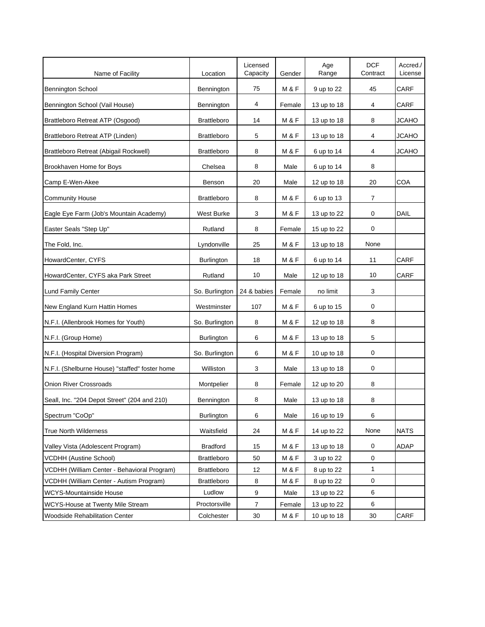| Name of Facility                               | Location           | Licensed<br>Capacity | Gender           | Age<br>Range | <b>DCF</b><br>Contract | Accred./<br>License |
|------------------------------------------------|--------------------|----------------------|------------------|--------------|------------------------|---------------------|
| <b>Bennington School</b>                       | Bennington         | 75                   | M&F              | 9 up to 22   | 45                     | CARF                |
| Bennington School (Vail House)                 | Bennington         | 4                    | Female           | 13 up to 18  | 4                      | <b>CARF</b>         |
| Brattleboro Retreat ATP (Osgood)               | <b>Brattleboro</b> | 14                   | M&F              | 13 up to 18  | 8                      | <b>JCAHO</b>        |
| Brattleboro Retreat ATP (Linden)               | <b>Brattleboro</b> | 5                    | M&F              | 13 up to 18  | 4                      | <b>JCAHO</b>        |
| Brattleboro Retreat (Abigail Rockwell)         | <b>Brattleboro</b> | 8                    | <b>M&amp;F</b>   | 6 up to 14   | 4                      | <b>JCAHO</b>        |
| Brookhaven Home for Boys                       | Chelsea            | 8                    | Male             | 6 up to 14   | 8                      |                     |
| Camp E-Wen-Akee                                | Benson             | 20                   | Male             | 12 up to 18  | 20                     | COA                 |
| <b>Community House</b>                         | <b>Brattleboro</b> | 8                    | <b>M&amp;F</b>   | 6 up to 13   | 7                      |                     |
| Eagle Eye Farm (Job's Mountain Academy)        | West Burke         | 3                    | <b>M &amp; F</b> | 13 up to 22  | 0                      | DAIL                |
| Easter Seals "Step Up"                         | Rutland            | 8                    | Female           | 15 up to 22  | 0                      |                     |
| The Fold, Inc.                                 | Lyndonville        | 25                   | M&F              | 13 up to 18  | None                   |                     |
| HowardCenter, CYFS                             | <b>Burlington</b>  | 18                   | M & F            | 6 up to 14   | 11                     | CARF                |
| HowardCenter, CYFS aka Park Street             | Rutland            | 10                   | Male             | 12 up to 18  | 10                     | <b>CARF</b>         |
| Lund Family Center                             | So. Burlington     | 24 & babies          | Female           | no limit     | 3                      |                     |
| New England Kurn Hattin Homes                  | Westminster        | 107                  | M&F              | 6 up to 15   | 0                      |                     |
| N.F.I. (Allenbrook Homes for Youth)            | So. Burlington     | 8                    | <b>M&amp;F</b>   | 12 up to 18  | 8                      |                     |
| N.F.I. (Group Home)                            | Burlington         | 6                    | M & F            | 13 up to 18  | 5                      |                     |
| N.F.I. (Hospital Diversion Program)            | So. Burlington     | 6                    | <b>M&amp;F</b>   | 10 up to 18  | 0                      |                     |
| N.F.I. (Shelburne House) "staffed" foster home | Williston          | 3                    | Male             | 13 up to 18  | 0                      |                     |
| <b>Onion River Crossroads</b>                  | Montpelier         | 8                    | Female           | 12 up to 20  | 8                      |                     |
| Seall, Inc. "204 Depot Street" (204 and 210)   | Bennington         | 8                    | Male             | 13 up to 18  | 8                      |                     |
| Spectrum "CoOp"                                | <b>Burlington</b>  | 6                    | Male             | 16 up to 19  | 6                      |                     |
| <b>True North Wilderness</b>                   | Waitsfield         | 24                   | M&F              | 14 up to 22  | None                   | <b>NATS</b>         |
| Valley Vista (Adolescent Program)              | <b>Bradford</b>    | 15                   | M & F            | 13 up to 18  | $\pmb{0}$              | ADAP                |
| <b>VCDHH (Austine School)</b>                  | <b>Brattleboro</b> | 50                   | M&F              | 3 up to 22   | $\pmb{0}$              |                     |
| VCDHH (William Center - Behavioral Program)    | <b>Brattleboro</b> | 12                   | M&F              | 8 up to 22   | 1                      |                     |
| VCDHH (William Center - Autism Program)        | Brattleboro        | 8                    | M&F              | 8 up to 22   | 0                      |                     |
| <b>WCYS-Mountainside House</b>                 | Ludlow             | 9                    | Male             | 13 up to 22  | 6                      |                     |
| WCYS-House at Twenty Mile Stream               | Proctorsville      | $\overline{7}$       | Female           | 13 up to 22  | 6                      |                     |
| Woodside Rehabilitation Center                 | Colchester         | $30\,$               | M&F              | 10 up to 18  | 30                     | CARF                |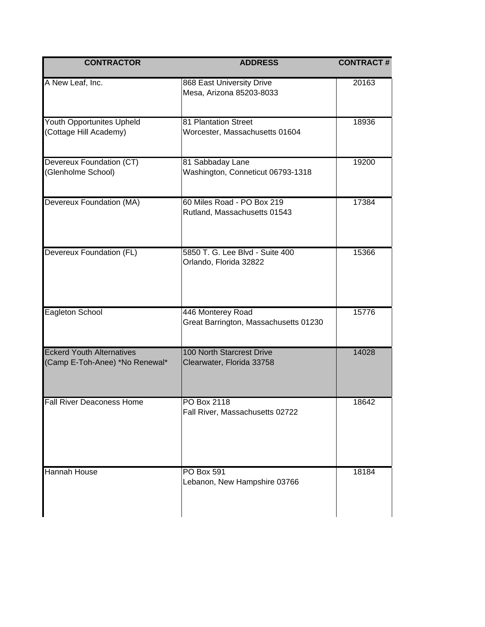| <b>CONTRACTOR</b>                                                  | <b>ADDRESS</b>                                                | <b>CONTRACT#</b> |
|--------------------------------------------------------------------|---------------------------------------------------------------|------------------|
| A New Leaf, Inc.                                                   | 868 East University Drive<br>Mesa, Arizona 85203-8033         | 20163            |
| <b>Youth Opportunites Upheld</b><br>(Cottage Hill Academy)         | 81 Plantation Street<br>Worcester, Massachusetts 01604        | 18936            |
| Devereux Foundation (CT)<br>(Glenholme School)                     | 81 Sabbaday Lane<br>Washington, Conneticut 06793-1318         | 19200            |
| Devereux Foundation (MA)                                           | 60 Miles Road - PO Box 219<br>Rutland, Massachusetts 01543    | 17384            |
| Devereux Foundation (FL)                                           | 5850 T. G. Lee Blvd - Suite 400<br>Orlando, Florida 32822     | 15366            |
| Eagleton School                                                    | 446 Monterey Road<br>Great Barrington, Massachusetts 01230    | 15776            |
| <b>Eckerd Youth Alternatives</b><br>(Camp E-Toh-Anee) *No Renewal* | <b>100 North Starcrest Drive</b><br>Clearwater, Florida 33758 | 14028            |
| <b>Fall River Deaconess Home</b>                                   | PO Box 2118<br>Fall River, Massachusetts 02722                | 18642            |
| Hannah House                                                       | <b>PO Box 591</b><br>Lebanon, New Hampshire 03766             | 18184            |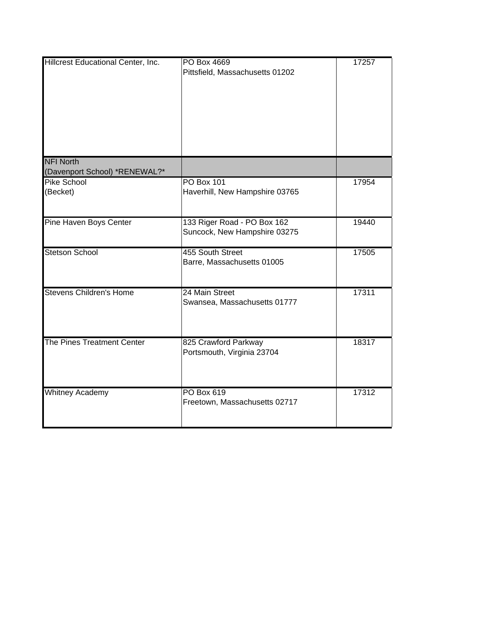| Hillcrest Educational Center, Inc.                | PO Box 4669<br>Pittsfield, Massachusetts 01202              | 17257 |
|---------------------------------------------------|-------------------------------------------------------------|-------|
| <b>NFI North</b><br>(Davenport School) *RENEWAL?* |                                                             |       |
| Pike School<br>(Becket)                           | <b>PO Box 101</b><br>Haverhill, New Hampshire 03765         | 17954 |
| Pine Haven Boys Center                            | 133 Riger Road - PO Box 162<br>Suncock, New Hampshire 03275 | 19440 |
| <b>Stetson School</b>                             | 455 South Street<br>Barre, Massachusetts 01005              | 17505 |
| <b>Stevens Children's Home</b>                    | 24 Main Street<br>Swansea, Massachusetts 01777              | 17311 |
| The Pines Treatment Center                        | 825 Crawford Parkway<br>Portsmouth, Virginia 23704          | 18317 |
| <b>Whitney Academy</b>                            | <b>PO Box 619</b><br>Freetown, Massachusetts 02717          | 17312 |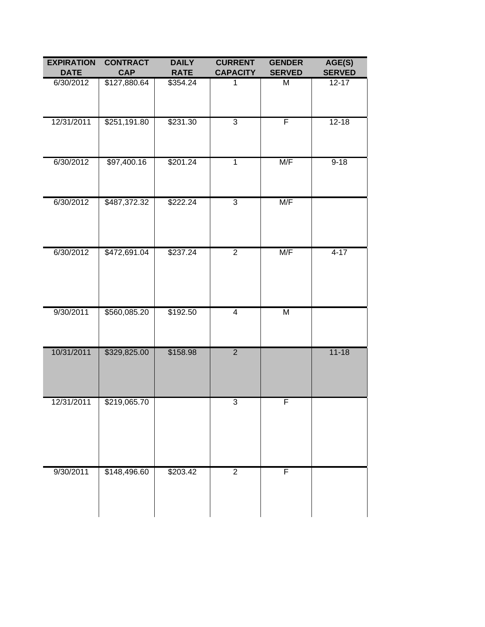| <b>EXPIRATION</b><br><b>DATE</b> | <b>CONTRACT</b><br><b>CAP</b> | <b>DAILY</b><br><b>RATE</b> | <b>CURRENT</b><br><b>CAPACITY</b> | <b>GENDER</b><br><b>SERVED</b> | AGE(S)<br><b>SERVED</b> |
|----------------------------------|-------------------------------|-----------------------------|-----------------------------------|--------------------------------|-------------------------|
| 6/30/2012                        | \$127,880.64                  | \$354.24                    | 1                                 | Μ                              | $12 - 17$               |
| 12/31/2011                       | \$251,191.80                  | \$231.30                    | $\overline{3}$                    | F                              | $12 - 18$               |
| 6/30/2012                        | \$97,400.16                   | \$201.24                    | $\overline{1}$                    | M/F                            | $9 - 18$                |
| 6/30/2012                        | \$487,372.32                  | \$222.24                    | $\overline{3}$                    | M/F                            |                         |
| 6/30/2012                        | \$472,691.04                  | \$237.24                    | $\overline{2}$                    | M/F                            | $4 - 17$                |
| 9/30/2011                        | \$560,085.20                  | \$192.50                    | $\overline{4}$                    | M                              |                         |
| 10/31/2011                       | \$329,825.00                  | \$158.98                    | $\overline{2}$                    |                                | $11 - 18$               |
| 12/31/2011                       | \$219,065.70                  |                             | $\overline{3}$                    | F                              |                         |
| 9/30/2011                        | \$148,496.60                  | \$203.42                    | $\overline{2}$                    | F                              |                         |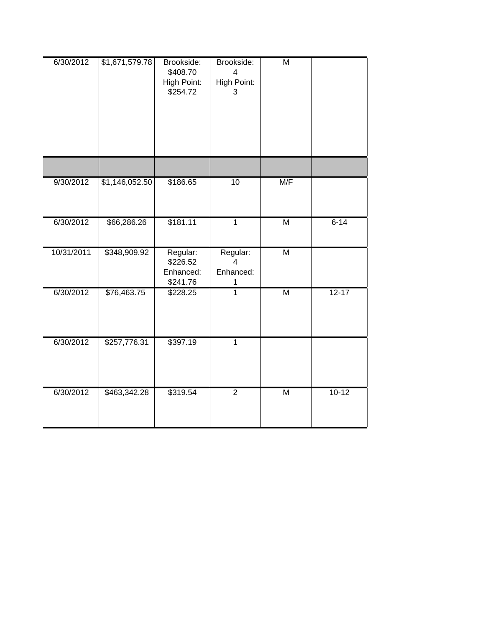| 6/30/2012  | \$1,671,579.78 | Brookside:<br>\$408.70<br>High Point:<br>\$254.72 | Brookside:<br>4<br>High Point:<br>3          | $\overline{\mathsf{M}}$ |           |
|------------|----------------|---------------------------------------------------|----------------------------------------------|-------------------------|-----------|
|            |                |                                                   |                                              |                         |           |
| 9/30/2012  | \$1,146,052.50 | \$186.65                                          | $\overline{10}$                              | M/F                     |           |
| 6/30/2012  | \$66,286.26    | \$181.11                                          | $\overline{1}$                               | $\overline{\mathsf{M}}$ | $6 - 14$  |
| 10/31/2011 | \$348,909.92   | Regular:<br>\$226.52<br>Enhanced:<br>\$241.76     | Regular:<br>$\overline{4}$<br>Enhanced:<br>1 | $\overline{\mathsf{M}}$ |           |
| 6/30/2012  | \$76,463.75    | \$228.25                                          | $\overline{1}$                               | $\overline{\mathsf{M}}$ | $12 - 17$ |
| 6/30/2012  | \$257,776.31   | \$397.19                                          | $\overline{1}$                               |                         |           |
| 6/30/2012  | \$463,342.28   | \$319.54                                          | $\overline{2}$                               | M                       | $10-12$   |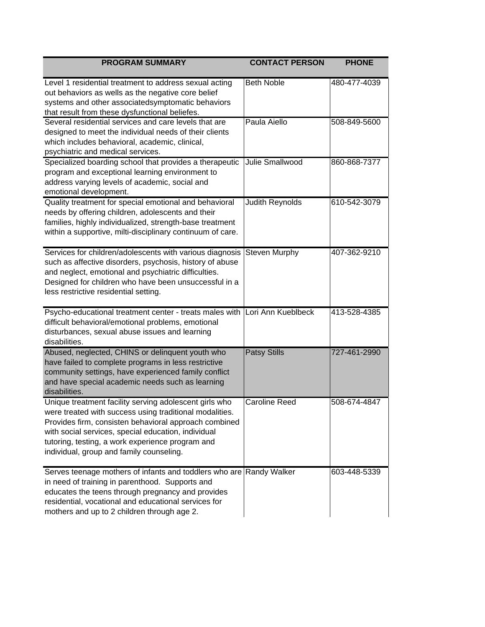| <b>PROGRAM SUMMARY</b>                                                                                                                                                                                                                                                                                                            | <b>CONTACT PERSON</b>  | <b>PHONE</b> |
|-----------------------------------------------------------------------------------------------------------------------------------------------------------------------------------------------------------------------------------------------------------------------------------------------------------------------------------|------------------------|--------------|
| Level 1 residential treatment to address sexual acting<br>out behaviors as wells as the negative core belief<br>systems and other associatedsymptomatic behaviors<br>that result from these dysfunctional beliefes.                                                                                                               | <b>Beth Noble</b>      | 480-477-4039 |
| Several residential services and care levels that are<br>designed to meet the individual needs of their clients<br>which includes behavioral, academic, clinical,<br>psychiatric and medical services.                                                                                                                            | Paula Aiello           | 508-849-5600 |
| Specialized boarding school that provides a therapeutic<br>program and exceptional learning environment to<br>address varying levels of academic, social and<br>emotional development.                                                                                                                                            | <b>Julie Smallwood</b> | 860-868-7377 |
| Quality treatment for special emotional and behavioral<br>needs by offering children, adolescents and their<br>families, highly individualized, strength-base treatment<br>within a supportive, milti-disciplinary continuum of care.                                                                                             | Judith Reynolds        | 610-542-3079 |
| Services for children/adolescents with various diagnosis<br>such as affective disorders, psychosis, history of abuse<br>and neglect, emotional and psychiatric difficulties.<br>Designed for children who have been unsuccessful in a<br>less restrictive residential setting.                                                    | <b>Steven Murphy</b>   | 407-362-9210 |
| Psycho-educational treatment center - treats males with Lori Ann Kueblbeck<br>difficult behavioral/emotional problems, emotional<br>disturbances, sexual abuse issues and learning<br>disabilities.                                                                                                                               |                        | 413-528-4385 |
| Abused, neglected, CHINS or delinquent youth who<br>have failed to complete programs in less restrictive<br>community settings, have experienced family conflict<br>and have special academic needs such as learning<br>disabilities.                                                                                             | <b>Patsy Stills</b>    | 727-461-2990 |
| Unique treatment facility serving adolescent girls who<br>were treated with success using traditional modalities.<br>Provides firm, consisten behavioral approach combined<br>with social services, special education, individual<br>tutoring, testing, a work experience program and<br>individual, group and family counseling. | Caroline Reed          | 508-674-4847 |
| Serves teenage mothers of infants and toddlers who are Randy Walker<br>in need of training in parenthood. Supports and<br>educates the teens through pregnancy and provides<br>residential, vocational and educational services for<br>mothers and up to 2 children through age 2.                                                |                        | 603-448-5339 |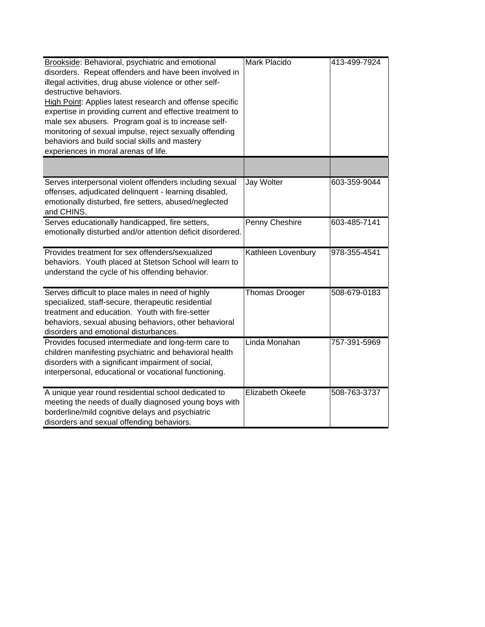| Brookside: Behavioral, psychiatric and emotional<br>disorders. Repeat offenders and have been involved in<br>illegal activities, drug abuse violence or other self-<br>destructive behaviors.<br>High Point: Applies latest research and offense specific<br>expertise in providing current and effective treatment to<br>male sex abusers. Program goal is to increase self-<br>monitoring of sexual impulse, reject sexually offending<br>behaviors and build social skills and mastery<br>experiences in moral arenas of life. | Mark Placido          | 413-499-7924 |
|-----------------------------------------------------------------------------------------------------------------------------------------------------------------------------------------------------------------------------------------------------------------------------------------------------------------------------------------------------------------------------------------------------------------------------------------------------------------------------------------------------------------------------------|-----------------------|--------------|
|                                                                                                                                                                                                                                                                                                                                                                                                                                                                                                                                   |                       |              |
| Serves interpersonal violent offenders including sexual<br>offenses, adjudicated delinquent - learning disabled,<br>emotionally disturbed, fire setters, abused/neglected<br>and CHINS.                                                                                                                                                                                                                                                                                                                                           | Jay Wolter            | 603-359-9044 |
| Serves educationally handicapped, fire setters,<br>emotionally disturbed and/or attention deficit disordered.                                                                                                                                                                                                                                                                                                                                                                                                                     | Penny Cheshire        | 603-485-7141 |
| Provides treatment for sex offenders/sexualized<br>behaviors. Youth placed at Stetson School will learn to<br>understand the cycle of his offending behavior.                                                                                                                                                                                                                                                                                                                                                                     | Kathleen Lovenbury    | 978-355-4541 |
| Serves difficult to place males in need of highly<br>specialized, staff-secure, therapeutic residential<br>treatment and education. Youth with fire-setter<br>behaviors, sexual abusing behaviors, other behavioral<br>disorders and emotional disturbances.                                                                                                                                                                                                                                                                      | <b>Thomas Drooger</b> | 508-679-0183 |
| Provides focused intermediate and long-term care to<br>children manifesting psychiatric and behavioral health<br>disorders with a significant impairment of social,<br>interpersonal, educational or vocational functioning.                                                                                                                                                                                                                                                                                                      | Linda Monahan         | 757-391-5969 |
| A unique year round residential school dedicated to<br>meeting the needs of dually diagnosed young boys with<br>borderline/mild cognitive delays and psychiatric<br>disorders and sexual offending behaviors.                                                                                                                                                                                                                                                                                                                     | Elizabeth Okeefe      | 508-763-3737 |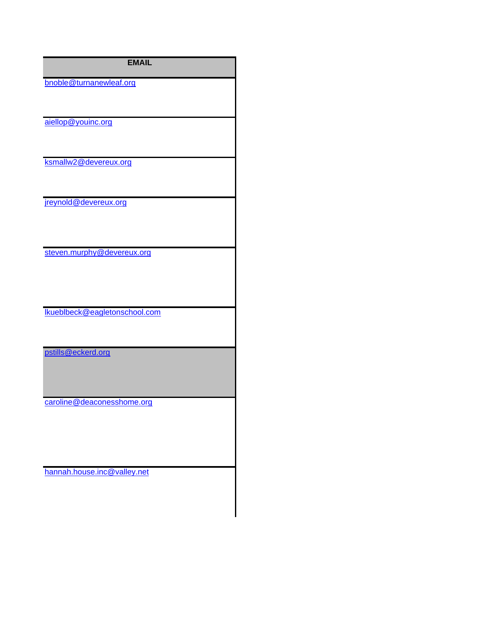| <b>EMAIL</b>                  |
|-------------------------------|
| bnoble@turnanewleaf.org       |
| aiellop@youinc.org            |
| ksmallw2@devereux.org         |
| jreynold@devereux.org         |
| steven.murphy@devereux.org    |
| Ikueblbeck@eagletonschool.com |
| pstills@eckerd.org            |
| caroline@deaconesshome.org    |
| hannah.house.inc@valley.net   |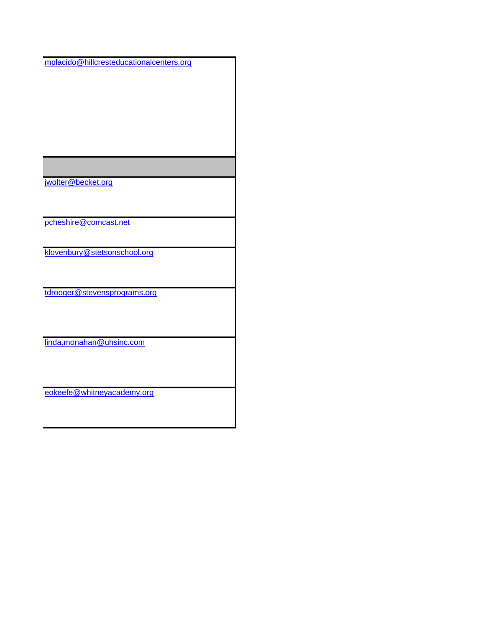mplacido@hillcresteducationalcenters.org

jwolter@becket.org

pcheshire@comcast.net

klovenbury@stetsonschool.org

tdrooger@stevensprograms.org

linda.monahan@uhsinc.com

eokeefe@whitneyacademy.org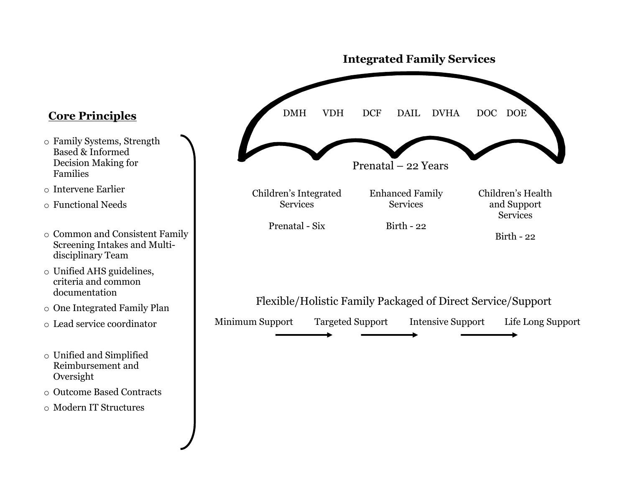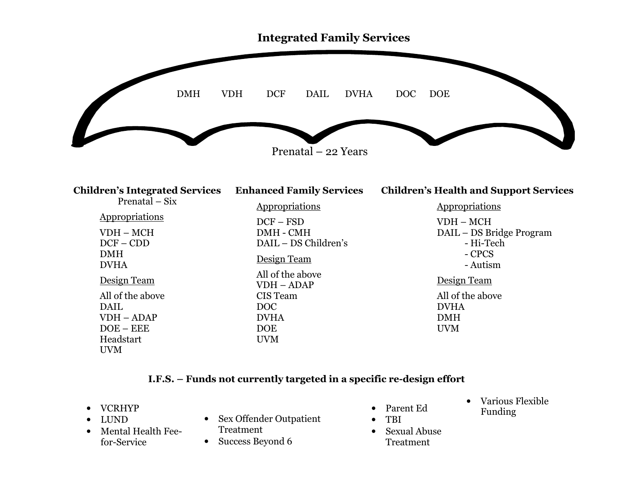

| <b>Children's Integrated Services</b> | <b>Enhanced Family Services</b>  | <b>Children's Health and Support Services</b> |
|---------------------------------------|----------------------------------|-----------------------------------------------|
| Prenatal $-$ Six                      | <b>Appropriations</b>            | Appropriations                                |
| Appropriations                        | $DCF - FSD$                      | $VDH - MCH$                                   |
| $VDH - MCH$                           | DMH - CMH                        | DAIL - DS Bridge Program                      |
| $DCF - CDD$                           | DAIL - DS Children's             | - Hi-Tech                                     |
| <b>DMH</b><br><b>DVHA</b>             | Design Team                      | - CPCS<br>- Autism                            |
| Design Team                           | All of the above<br>$VDH - ADAP$ | Design Team                                   |
| All of the above                      | CIS Team                         | All of the above                              |
| DAIL                                  | DOC                              | <b>DVHA</b>                                   |
| $VDH - ADAP$                          | <b>DVHA</b>                      | <b>DMH</b>                                    |
| $DOE - EEE$                           | <b>DOE</b>                       | <b>UVM</b>                                    |
| Headstart                             | <b>UVM</b>                       |                                               |
| <b>UVM</b>                            |                                  |                                               |

## I.F.S. – Funds not currently targeted in a specific re-design effort

- VCRHYP
- •LUND
- Mental Health Feefor-Service
- Sex Offender Outpatient Treatment
- Success Beyond 6
- Parent Ed
- • TBI  $\bullet$  Sexual Abuse
	- Treatment
- $\bullet$  Various Flexible Funding